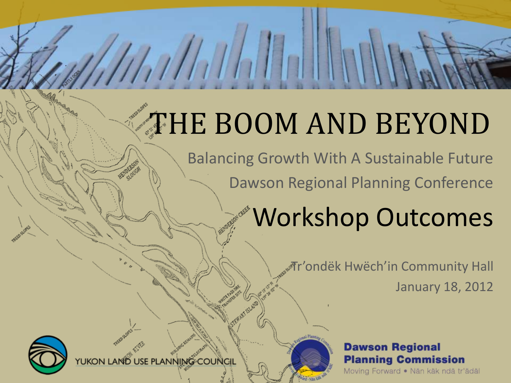### THE BOOM AND BEYOND

Balancing Growth With A Sustainable Future Dawson Regional Planning Conference

### Workshop Outcomes

Tr'ondëk Hwëch'in Community Hall January 18, 2012

#### **Dawson Regional Planning Commission**

Moving Forward · Nän käk ndä tr'ädäl



USE PLANNING COUNCIL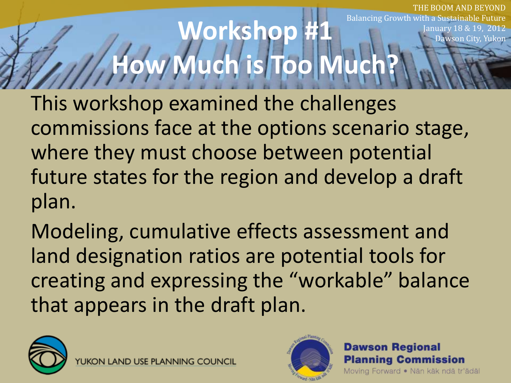**Norkshop How Much is Too Much?** ROOM AND BEYOND Balancing Growth with a Sustainable Future anuary 18 & wson City, Yukon

This workshop examined the challenges commissions face at the options scenario stage, where they must choose between potential future states for the region and develop a draft plan.

Modeling, cumulative effects assessment and land designation ratios are potential tools for creating and expressing the "workable" balance that appears in the draft plan.





#### **Dawson Regional Planning Commission**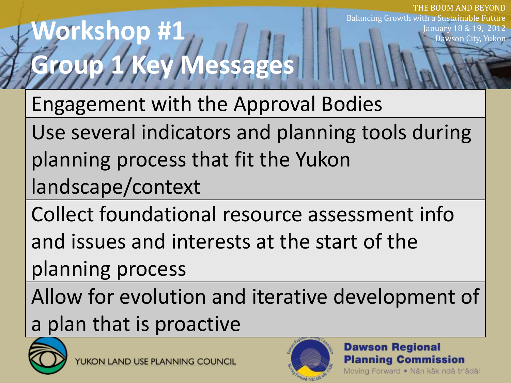### **Workshop #1 Group 1 Key Messages**

Engagement with the Approval Bodies

Use several indicators and planning tools during planning process that fit the Yukon landscape/context

Collect foundational resource assessment info

and issues and interests at the start of the

planning process

Allow for evolution and iterative development of a plan that is proactive





**Dawson Regional Planning Commission** Moving Forward · Nän käk ndä tr'ädäl

THE BOOM AND BEYOND

awson City, Yukon

anuary 18 & 19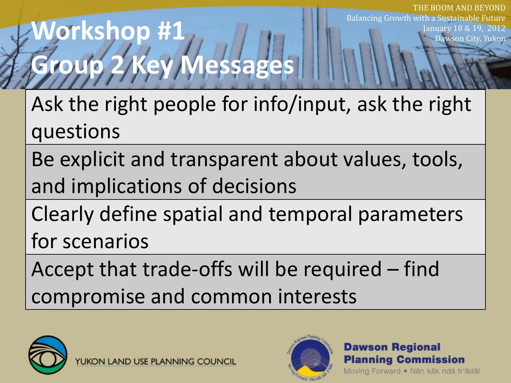### **Workshop #1 Group 2 Key Messages**

Ask the right people for info/input, ask the right questions

Be explicit and transparent about values, tools, and implications of decisions

Clearly define spatial and temporal parameters for scenarios

Accept that trade-offs will be required – find compromise and common interests





**Dawson Regional Planning Commission** Moving Forward · Nän käk ndä tr'ädäl

THE BOOM AND BEYOND

Dawson City, Yukon

anuary 18 & 19.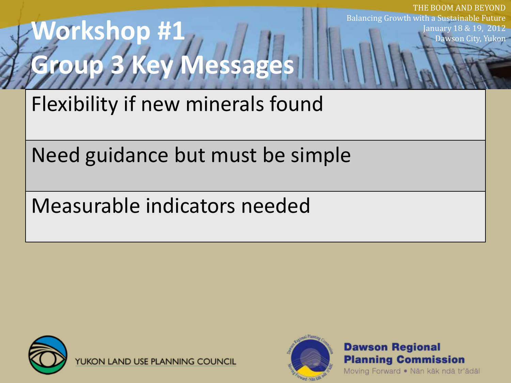## **Workshop #1 Group 3 Key Messages**

Flexibility if new minerals found

Need guidance but must be simple

Measurable indicators needed



UKON LAND USE PLANNING COUNCIL



Balancing Growth with a Sustainable Future January 18 & 19, 2012 Dawson City, Yukon

THE BOOM AND BEYOND

**Dawson Regional Planning Commission**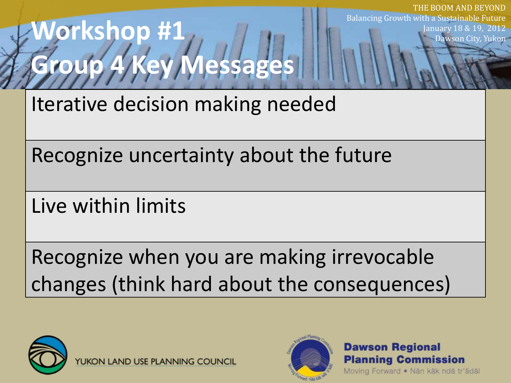### **Workshop #1 Group 4 Key Messages**

Iterative decision making needed

Recognize uncertainty about the future

Live within limits

Recognize when you are making irrevocable changes (think hard about the consequences)



N LAND USE PLANNING COUNCIL



**Dawson Regional Planning Commission** 

Moving Forward · Nän käk ndä tr'ädäl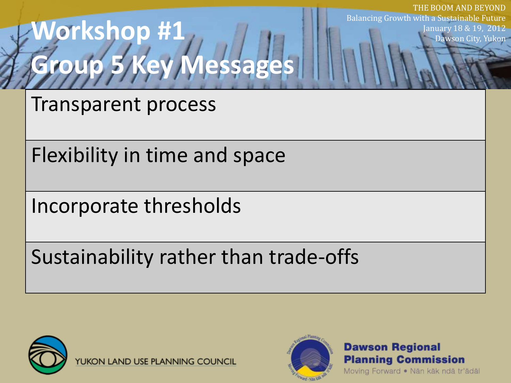## **Workshop #1 Group 5 Key Messages**

Transparent process

Flexibility in time and space

Incorporate thresholds

Sustainability rather than trade-offs



**UKON LAND USE PLANNING COUNCIL** 



**Dawson Regional Planning Commission** 

Moving Forward · Nän käk ndä tr'ädäl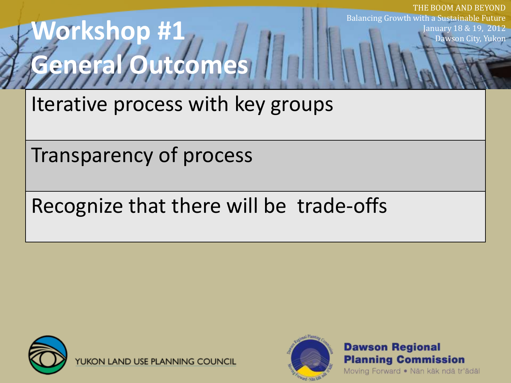### **Workshop #1 General Outcomes**

Iterative process with key groups

Transparency of process

### Recognize that there will be trade-offs



UKON LAND USE PLANNING COUNCIL



**Dawson Regional Planning Commission** 

Moving Forward · Nän käk ndä tr'ädäl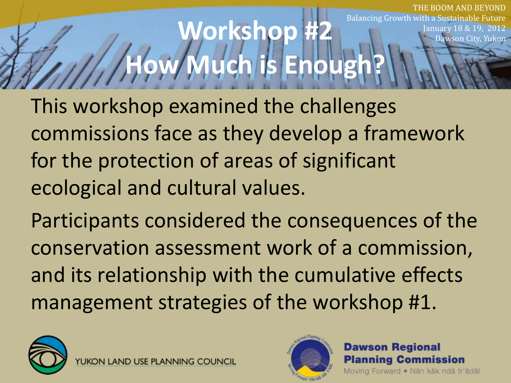#### **Morkshop How Much is Enou** ROOM AND REYOND Balancing Growth with a Sustainable Future anuary 18 & Dawson City, Yukon

This workshop examined the challenges commissions face as they develop a framework for the protection of areas of significant ecological and cultural values.

Participants considered the consequences of the conservation assessment work of a commission, and its relationship with the cumulative effects management strategies of the workshop #1.





#### **Dawson Regional Planning Commission**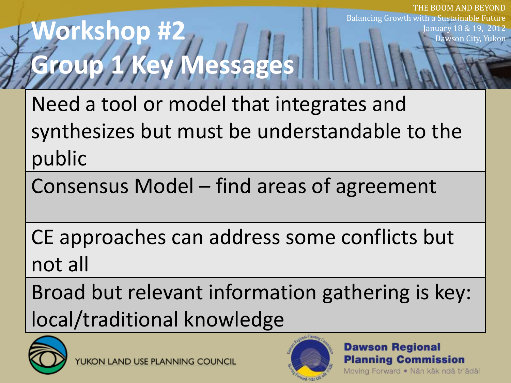### **Workshop #2 Group 1 Key Messages**

Need a tool or model that integrates and synthesizes but must be understandable to the public

Consensus Model – find areas of agreement

CE approaches can address some conflicts but not all

Broad but relevant information gathering is key: local/traditional knowledge





#### **Dawson Regional Planning Commission**

Moving Forward · Nän käk ndä tr'ädäl

THE BOOM AND BEYOND

January 18 & 19, 2012 Dawson City, Yukon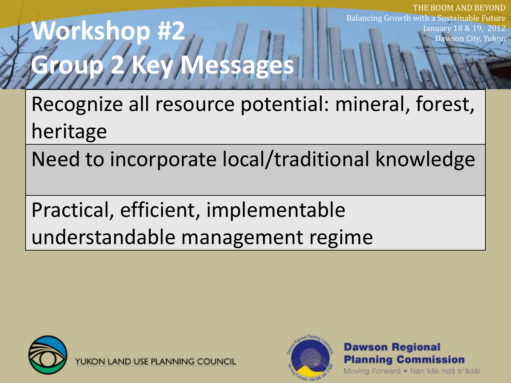### **Workshop #2 Group 2 Key Messages**

Recognize all resource potential: mineral, forest, heritage

Need to incorporate local/traditional knowledge

Practical, efficient, implementable understandable management regime



**UKON LAND USE PLANNING COUNCIL** 



**Dawson Regional Planning Commission** 

Moving Forward · Nän käk ndä tr'ädäl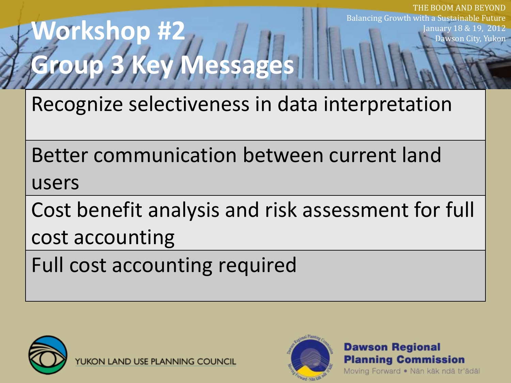### **Workshop #2 Group 3 Key Messages**

Recognize selectiveness in data interpretation

Better communication between current land users

Cost benefit analysis and risk assessment for full cost accounting

Full cost accounting required



UKON LAND USE PLANNING COUNCIL



**Dawson Regional Planning Commission** 

Moving Forward · Nän käk ndä tr'ädäl

THE BOOM AND BEYOND

January 18 & 19, 2012 Dawson City, Yukon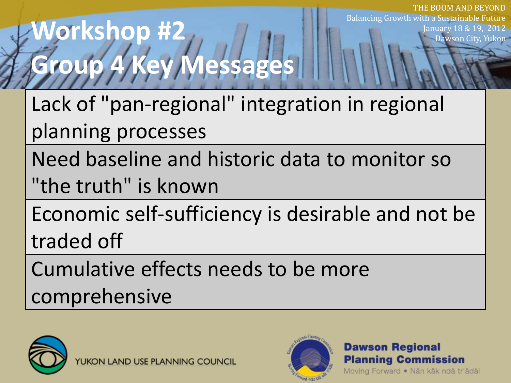### **Workshop #2 Group 4 Key Messages**

Lack of "pan-regional" integration in regional planning processes

Need baseline and historic data to monitor so

"the truth" is known

Economic self-sufficiency is desirable and not be traded off

Cumulative effects needs to be more comprehensive

N LAND USE PLANNING COUNCIL



**Dawson Regional Planning Commission** 

Moving Forward · Nän käk ndä tr'ädäl

THE BOOM AND BEYOND

January 18 & 19, 2012 Dawson City, Yukon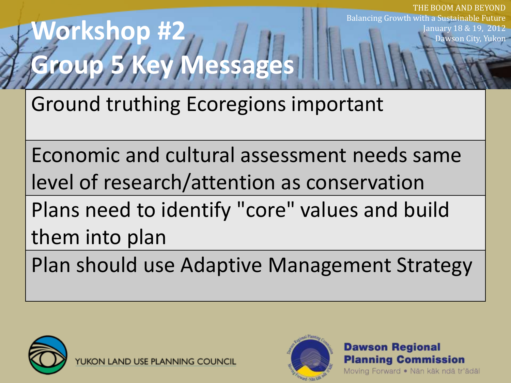# **Group 5 Key Messages**

**Workshop #2**

Ground truthing Ecoregions important

Economic and cultural assessment needs same level of research/attention as conservation Plans need to identify "core" values and build them into plan

Plan should use Adaptive Management Strategy



**LAND USE PLANN** 



**Dawson Regional Planning Commission** Moving Forward · Nän käk ndä tr'ädäl

THE BOOM AND BEYOND

January 18 & 19, 2012 Dawson City, Yukon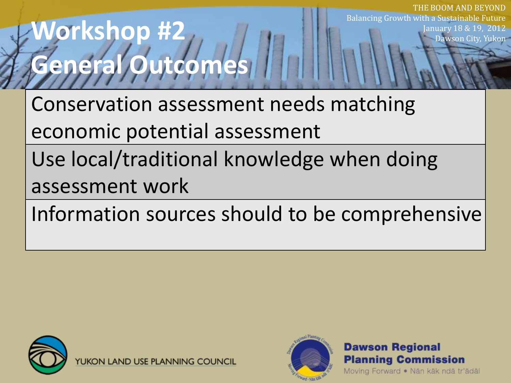### **Workshop #2 General Outcomes**

Conservation assessment needs matching economic potential assessment

Use local/traditional knowledge when doing assessment work

Information sources should to be comprehensive



**UKON LAND USE PLANNING COUNCIL** 



**Dawson Regional Planning Commission** 

Moving Forward · Nän käk ndä tr'ädäl

THE BOOM AND BEYOND

January 18 & 19, 2012 Dawson City, Yukon